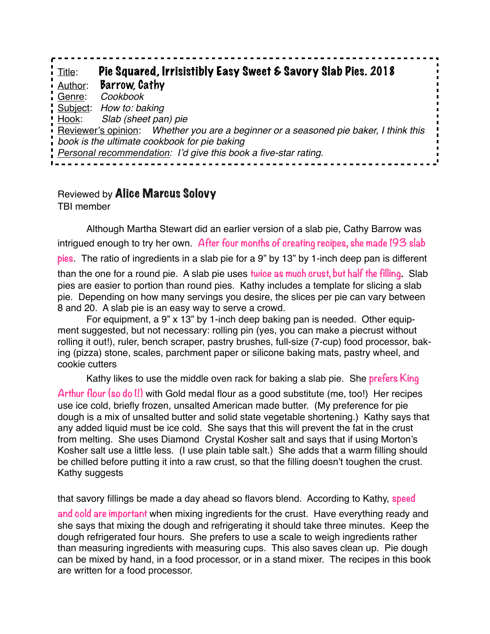Title: Pie Squared, Irrisistibly Easy Sweet & Savory Slab Pies. 2018 Author: Barrow, Cathy Genre: *Cookbook* Subject: *How to: baking* Hook: *Slab (sheet pan) pie* Reviewer's opinion: *Whether you are a beginner or a seasoned pie baker, I think this book is the ultimate cookbook for pie baking Personal recommendation: I'd give this book a five-star rating.*

## Reviewed by Alice Marcus Solovy TBI member

Although Martha Stewart did an earlier version of a slab pie, Cathy Barrow was intrigued enough to try her own. **After four months of creating recipes, she made 193 slab pies**. The ratio of ingredients in a slab pie for a 9" by 13" by 1-inch deep pan is different than the one for a round pie. A slab pie uses **twice as much crust, but half the filling.** Slab pies are easier to portion than round pies. Kathy includes a template for slicing a slab pie. Depending on how many servings you desire, the slices per pie can vary between 8 and 20. A slab pie is an easy way to serve a crowd.

For equipment, a 9" x 13" by 1-inch deep baking pan is needed. Other equipment suggested, but not necessary: rolling pin (yes, you can make a piecrust without rolling it out!), ruler, bench scraper, pastry brushes, full-size (7-cup) food processor, baking (pizza) stone, scales, parchment paper or silicone baking mats, pastry wheel, and cookie cutters

Kathy likes to use the middle oven rack for baking a slab pie. She **prefers King**  Arthur flour (so do I!) with Gold medal flour as a good substitute (me, too!) Her recipes use ice cold, briefly frozen, unsalted American made butter. (My preference for pie dough is a mix of unsalted butter and solid state vegetable shortening.) Kathy says that any added liquid must be ice cold. She says that this will prevent the fat in the crust from melting. She uses Diamond Crystal Kosher salt and says that if using Morton's Kosher salt use a little less. (I use plain table salt.) She adds that a warm filling should be chilled before putting it into a raw crust, so that the filling doesn't toughen the crust. Kathy suggests

that savory fillings be made a day ahead so flavors blend. According to Kathy, **speed** 

**and cold are important** when mixing ingredients for the crust. Have everything ready and she says that mixing the dough and refrigerating it should take three minutes. Keep the dough refrigerated four hours. She prefers to use a scale to weigh ingredients rather than measuring ingredients with measuring cups. This also saves clean up. Pie dough can be mixed by hand, in a food processor, or in a stand mixer. The recipes in this book are written for a food processor.